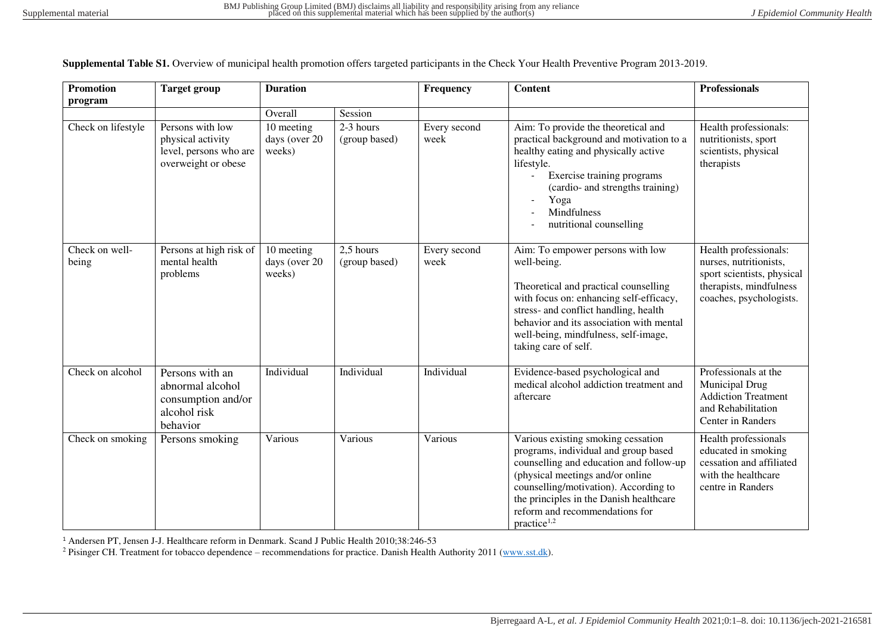| <b>Promotion</b>        | <b>Target group</b>                                                                    | <b>Duration</b>                       |                              | Frequency            | <b>Content</b>                                                                                                                                                                                                                                                                                             | <b>Professionals</b>                                                                                                                |
|-------------------------|----------------------------------------------------------------------------------------|---------------------------------------|------------------------------|----------------------|------------------------------------------------------------------------------------------------------------------------------------------------------------------------------------------------------------------------------------------------------------------------------------------------------------|-------------------------------------------------------------------------------------------------------------------------------------|
| program                 |                                                                                        |                                       |                              |                      |                                                                                                                                                                                                                                                                                                            |                                                                                                                                     |
|                         |                                                                                        | Overall                               | Session                      |                      |                                                                                                                                                                                                                                                                                                            |                                                                                                                                     |
| Check on lifestyle      | Persons with low<br>physical activity<br>level, persons who are<br>overweight or obese | 10 meeting<br>days (over 20<br>weeks) | $2-3$ hours<br>(group based) | Every second<br>week | Aim: To provide the theoretical and<br>practical background and motivation to a<br>healthy eating and physically active<br>lifestyle.<br>Exercise training programs<br>(cardio- and strengths training)<br>Yoga<br><b>Mindfulness</b><br>nutritional counselling                                           | Health professionals:<br>nutritionists, sport<br>scientists, physical<br>therapists                                                 |
| Check on well-<br>being | Persons at high risk of<br>mental health<br>problems                                   | 10 meeting<br>days (over 20<br>weeks) | 2,5 hours<br>(group based)   | Every second<br>week | Aim: To empower persons with low<br>well-being.<br>Theoretical and practical counselling<br>with focus on: enhancing self-efficacy,<br>stress- and conflict handling, health<br>behavior and its association with mental<br>well-being, mindfulness, self-image,<br>taking care of self.                   | Health professionals:<br>nurses, nutritionists,<br>sport scientists, physical<br>therapists, mindfulness<br>coaches, psychologists. |
| Check on alcohol        | Persons with an<br>abnormal alcohol<br>consumption and/or<br>alcohol risk<br>behavior  | Individual                            | Individual                   | Individual           | Evidence-based psychological and<br>medical alcohol addiction treatment and<br>aftercare                                                                                                                                                                                                                   | Professionals at the<br>Municipal Drug<br><b>Addiction Treatment</b><br>and Rehabilitation<br>Center in Randers                     |
| Check on smoking        | Persons smoking                                                                        | Various                               | Various                      | Various              | Various existing smoking cessation<br>programs, individual and group based<br>counselling and education and follow-up<br>(physical meetings and/or online<br>counselling/motivation). According to<br>the principles in the Danish healthcare<br>reform and recommendations for<br>practice <sup>1,2</sup> | Health professionals<br>educated in smoking<br>cessation and affiliated<br>with the healthcare<br>centre in Randers                 |

**Supplemental Table S1.** Overview of municipal health promotion offers targeted participants in the Check Your Health Preventive Program 2013-2019.

<sup>1</sup> Andersen PT, Jensen J-J. Healthcare reform in Denmark. Scand J Public Health 2010;38:246-53

<sup>2</sup> Pisinger CH. Treatment for tobacco dependence – recommendations for practice. Danish Health Authority 2011 [\(www.sst.dk\)](http://www.sst.dk/).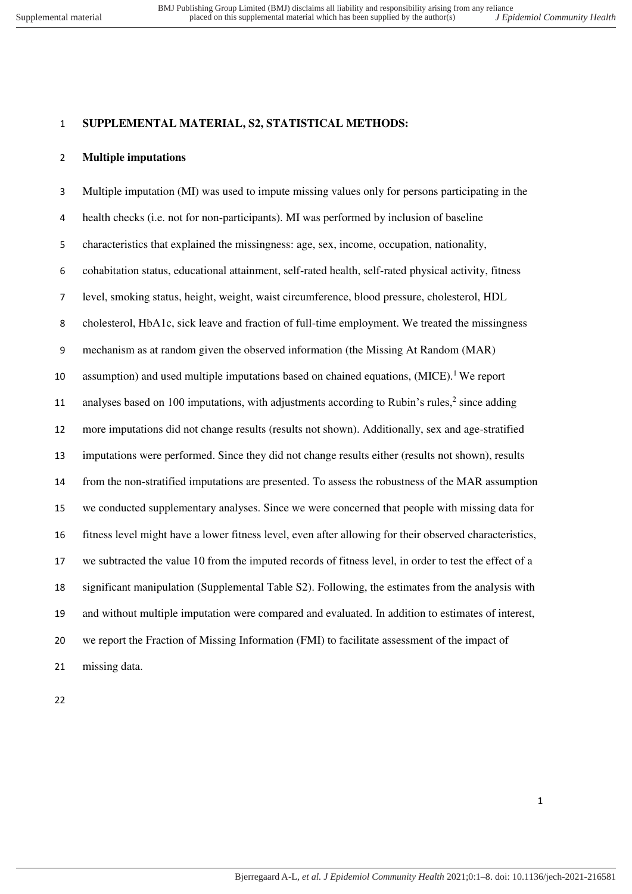### **SUPPLEMENTAL MATERIAL, S2, STATISTICAL METHODS:**

### **Multiple imputations**

 Multiple imputation (MI) was used to impute missing values only for persons participating in the health checks (i.e. not for non-participants). MI was performed by inclusion of baseline characteristics that explained the missingness: age, sex, income, occupation, nationality, cohabitation status, educational attainment, self-rated health, self-rated physical activity, fitness level, smoking status, height, weight, waist circumference, blood pressure, cholesterol, HDL cholesterol, HbA1c, sick leave and fraction of full-time employment. We treated the missingness mechanism as at random given the observed information (the Missing At Random (MAR) 10 assumption) and used multiple imputations based on chained equations,  $(MICE)$ . We report 11 analyses based on 100 imputations, with adjustments according to Rubin's rules, since adding more imputations did not change results (results not shown). Additionally, sex and age-stratified imputations were performed. Since they did not change results either (results not shown), results from the non-stratified imputations are presented. To assess the robustness of the MAR assumption we conducted supplementary analyses. Since we were concerned that people with missing data for fitness level might have a lower fitness level, even after allowing for their observed characteristics, we subtracted the value 10 from the imputed records of fitness level, in order to test the effect of a significant manipulation (Supplemental Table S2). Following, the estimates from the analysis with and without multiple imputation were compared and evaluated. In addition to estimates of interest, we report the Fraction of Missing Information (FMI) to facilitate assessment of the impact of missing data.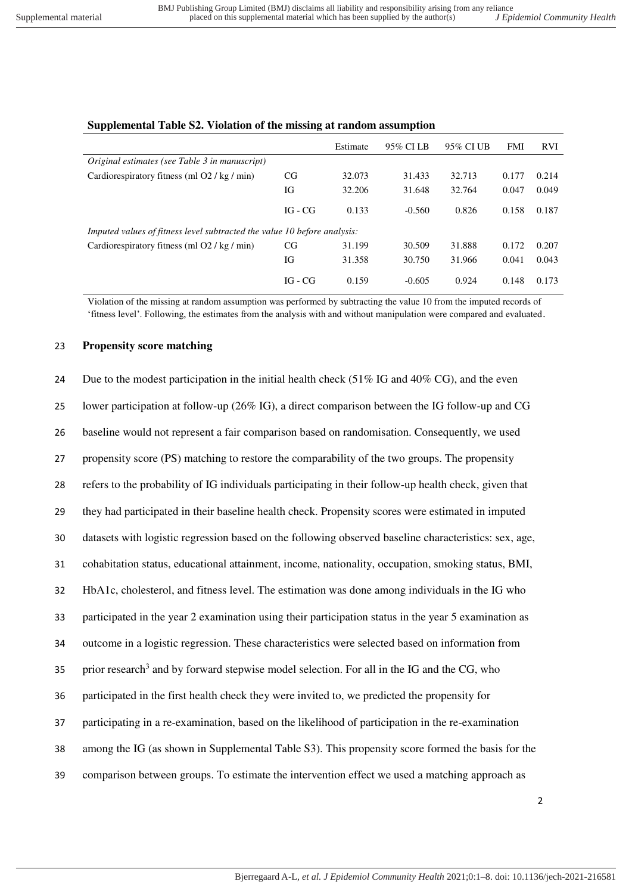|                                                                          |           | Estimate | 95% CI LB | 95% CI UB | <b>FMI</b> | <b>RVI</b> |
|--------------------------------------------------------------------------|-----------|----------|-----------|-----------|------------|------------|
| Original estimates (see Table 3 in manuscript)                           |           |          |           |           |            |            |
| Cardiorespiratory fitness (ml O2 / kg / min)                             | CG.       | 32.073   | 31.433    | 32.713    | 0.177      | 0.214      |
|                                                                          | IG        | 32.206   | 31.648    | 32.764    | 0.047      | 0.049      |
|                                                                          | $IG - CG$ | 0.133    | $-0.560$  | 0.826     | 0.158      | 0.187      |
| Imputed values of fitness level subtracted the value 10 before analysis: |           |          |           |           |            |            |
| Cardiorespiratory fitness (ml O2 / kg / min)                             | CG        | 31.199   | 30.509    | 31.888    | 0.172      | 0.207      |
|                                                                          | IG        | 31.358   | 30.750    | 31.966    | 0.041      | 0.043      |
|                                                                          | IG - CG   | 0.159    | $-0.605$  | 0.924     | 0.148      | 0.173      |

## **Supplemental Table S2. Violation of the missing at random assumption**

Violation of the missing at random assumption was performed by subtracting the value 10 from the imputed records of 'fitness level'. Following, the estimates from the analysis with and without manipulation were compared and evaluated.

#### 23 **Propensity score matching**

| 24 | Due to the modest participation in the initial health check $(51\% \text{ IG} \text{ and } 40\% \text{ CG})$ , and the even |
|----|-----------------------------------------------------------------------------------------------------------------------------|
| 25 | lower participation at follow-up (26% IG), a direct comparison between the IG follow-up and CG                              |
| 26 | baseline would not represent a fair comparison based on randomisation. Consequently, we used                                |
| 27 | propensity score (PS) matching to restore the comparability of the two groups. The propensity                               |
| 28 | refers to the probability of IG individuals participating in their follow-up health check, given that                       |
| 29 | they had participated in their baseline health check. Propensity scores were estimated in imputed                           |
| 30 | datasets with logistic regression based on the following observed baseline characteristics: sex, age,                       |
| 31 | cohabitation status, educational attainment, income, nationality, occupation, smoking status, BMI,                          |
| 32 | HbA1c, cholesterol, and fitness level. The estimation was done among individuals in the IG who                              |
| 33 | participated in the year 2 examination using their participation status in the year 5 examination as                        |
| 34 | outcome in a logistic regression. These characteristics were selected based on information from                             |
| 35 | prior research <sup>3</sup> and by forward stepwise model selection. For all in the IG and the CG, who                      |
| 36 | participated in the first health check they were invited to, we predicted the propensity for                                |
| 37 | participating in a re-examination, based on the likelihood of participation in the re-examination                           |
| 38 | among the IG (as shown in Supplemental Table S3). This propensity score formed the basis for the                            |
| 39 | comparison between groups. To estimate the intervention effect we used a matching approach as                               |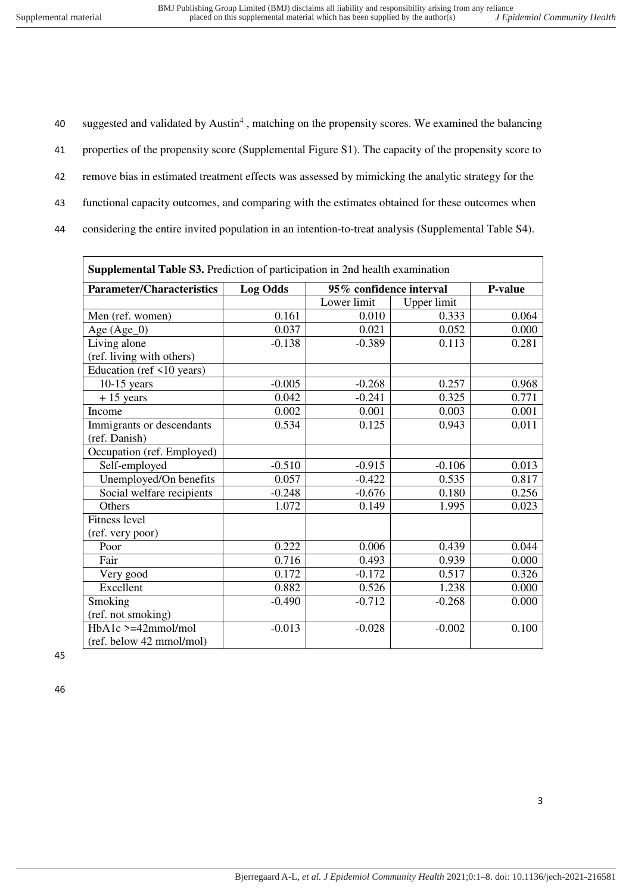40 suggested and validated by Austin<sup>4</sup>, matching on the propensity scores. We examined the balancing properties of the propensity score (Supplemental Figure S1). The capacity of the propensity score to remove bias in estimated treatment effects was assessed by mimicking the analytic strategy for the functional capacity outcomes, and comparing with the estimates obtained for these outcomes when considering the entire invited population in an intention-to-treat analysis (Supplemental Table S4).

| Supplemental Table S3. Prediction of participation in 2nd health examination |                                            |             |             |         |  |  |
|------------------------------------------------------------------------------|--------------------------------------------|-------------|-------------|---------|--|--|
| <b>Parameter/Characteristics</b>                                             | 95% confidence interval<br><b>Log Odds</b> |             |             | P-value |  |  |
|                                                                              |                                            | Lower limit | Upper limit |         |  |  |
| Men (ref. women)                                                             | 0.161                                      | 0.010       | 0.333       | 0.064   |  |  |
| Age (Age_0)                                                                  | 0.037                                      | 0.021       | 0.052       | 0.000   |  |  |
| Living alone                                                                 | $-0.138$                                   | $-0.389$    | 0.113       | 0.281   |  |  |
| (ref. living with others)                                                    |                                            |             |             |         |  |  |
| Education (ref <10 years)                                                    |                                            |             |             |         |  |  |
| $10-15$ years                                                                | $-0.005$                                   | $-0.268$    | 0.257       | 0.968   |  |  |
| $+15$ years                                                                  | 0.042                                      | $-0.241$    | 0.325       | 0.771   |  |  |
| Income                                                                       | 0.002                                      | 0.001       | 0.003       | 0.001   |  |  |
| Immigrants or descendants                                                    | 0.534                                      | 0.125       | 0.943       | 0.011   |  |  |
| (ref. Danish)                                                                |                                            |             |             |         |  |  |
| Occupation (ref. Employed)                                                   |                                            |             |             |         |  |  |
| Self-employed                                                                | $-0.510$                                   | $-0.915$    | $-0.106$    | 0.013   |  |  |
| Unemployed/On benefits                                                       | 0.057                                      | $-0.422$    | 0.535       | 0.817   |  |  |
| Social welfare recipients                                                    | $-0.248$                                   | $-0.676$    | 0.180       | 0.256   |  |  |
| Others                                                                       | 1.072                                      | 0.149       | 1.995       | 0.023   |  |  |
| <b>Fitness level</b>                                                         |                                            |             |             |         |  |  |
| (ref. very poor)                                                             |                                            |             |             |         |  |  |
| Poor                                                                         | 0.222                                      | 0.006       | 0.439       | 0.044   |  |  |
| Fair                                                                         | 0.716                                      | 0.493       | 0.939       | 0.000   |  |  |
| Very good                                                                    | 0.172                                      | $-0.172$    | 0.517       | 0.326   |  |  |
| Excellent                                                                    | 0.882                                      | 0.526       | 1.238       | 0.000   |  |  |
| Smoking                                                                      | $-0.490$                                   | $-0.712$    | $-0.268$    | 0.000   |  |  |
| (ref. not smoking)                                                           |                                            |             |             |         |  |  |
| $HbA1c$ >=42mmol/mol                                                         | $-0.013$                                   | $-0.028$    | $-0.002$    | 0.100   |  |  |
| (ref. below 42 mmol/mol)                                                     |                                            |             |             |         |  |  |

45

46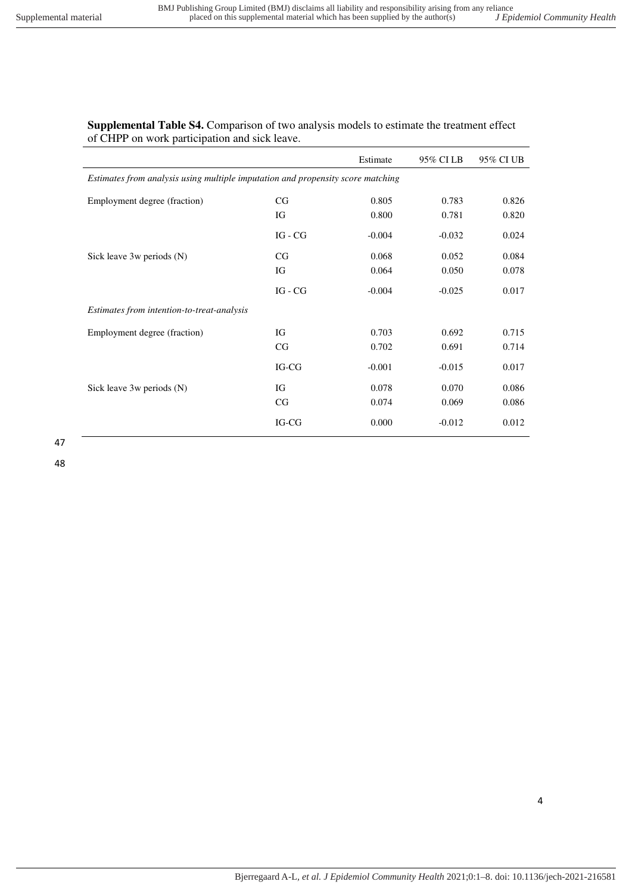# **Supplemental Table S4.** Comparison of two analysis models to estimate the treatment effect of CHPP on work participation and sick leave.

|                                                                                 |           | Estimate | 95% CI LB | 95% CI UB |  |  |  |  |
|---------------------------------------------------------------------------------|-----------|----------|-----------|-----------|--|--|--|--|
| Estimates from analysis using multiple imputation and propensity score matching |           |          |           |           |  |  |  |  |
| Employment degree (fraction)                                                    | CG        | 0.805    | 0.783     | 0.826     |  |  |  |  |
|                                                                                 | IG        | 0.800    | 0.781     | 0.820     |  |  |  |  |
|                                                                                 | $IG - CG$ | $-0.004$ | $-0.032$  | 0.024     |  |  |  |  |
| Sick leave 3w periods (N)                                                       | CG        | 0.068    | 0.052     | 0.084     |  |  |  |  |
|                                                                                 | IG        | 0.064    | 0.050     | 0.078     |  |  |  |  |
|                                                                                 | $IG - CG$ | $-0.004$ | $-0.025$  | 0.017     |  |  |  |  |
| Estimates from intention-to-treat-analysis                                      |           |          |           |           |  |  |  |  |
| Employment degree (fraction)                                                    | IG        | 0.703    | 0.692     | 0.715     |  |  |  |  |
|                                                                                 | CG        | 0.702    | 0.691     | 0.714     |  |  |  |  |
|                                                                                 | IG-CG     | $-0.001$ | $-0.015$  | 0.017     |  |  |  |  |
| Sick leave 3w periods (N)                                                       | IG        | 0.078    | 0.070     | 0.086     |  |  |  |  |
|                                                                                 | CG        | 0.074    | 0.069     | 0.086     |  |  |  |  |
|                                                                                 | IG-CG     | 0.000    | $-0.012$  | 0.012     |  |  |  |  |

47

48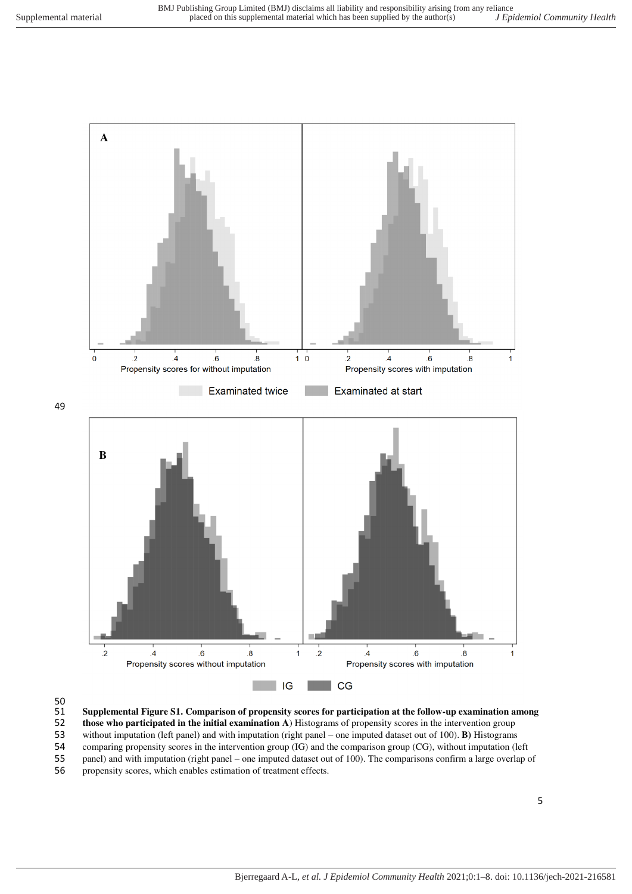

49



51 **Supplemental Figure S1. Comparison of propensity scores for participation at the follow-up examination among** 

52 **those who participated in the initial examination A**) Histograms of propensity scores in the intervention group

53 without imputation (left panel) and with imputation (right panel – one imputed dataset out of 100). **B)** Histograms

54 comparing propensity scores in the intervention group (IG) and the comparison group (CG), without imputation (left panel) and with imputation (right panel – one imputed dataset out of 100). The comparisons confirm a lar panel) and with imputation (right panel – one imputed dataset out of 100). The comparisons confirm a large overlap of

56 propensity scores, which enables estimation of treatment effects.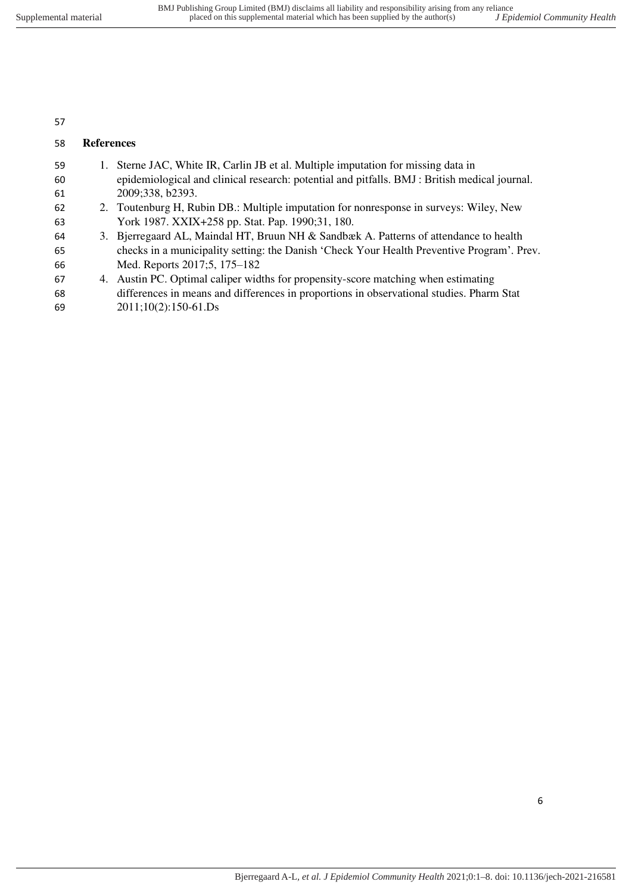# **References**

| 59 | 1. Sterne JAC, White IR, Carlin JB et al. Multiple imputation for missing data in             |
|----|-----------------------------------------------------------------------------------------------|
| 60 | epidemiological and clinical research: potential and pitfalls. BMJ : British medical journal. |
| 61 | 2009;338, b2393.                                                                              |
| 62 | 2. Toutenburg H, Rubin DB.: Multiple imputation for nonresponse in surveys: Wiley, New        |
| 63 | York 1987. XXIX+258 pp. Stat. Pap. 1990;31, 180.                                              |
| 64 | 3. Bjerregaard AL, Maindal HT, Bruun NH & Sandbæk A. Patterns of attendance to health         |
| 65 | checks in a municipality setting: the Danish 'Check Your Health Preventive Program'. Prev.    |
| 66 | Med. Reports 2017;5, 175–182                                                                  |
| 67 | 4. Austin PC. Optimal caliper widths for propensity-score matching when estimating            |
| 68 | differences in means and differences in proportions in observational studies. Pharm Stat      |
| 69 | $2011;10(2):150-61.Ds$                                                                        |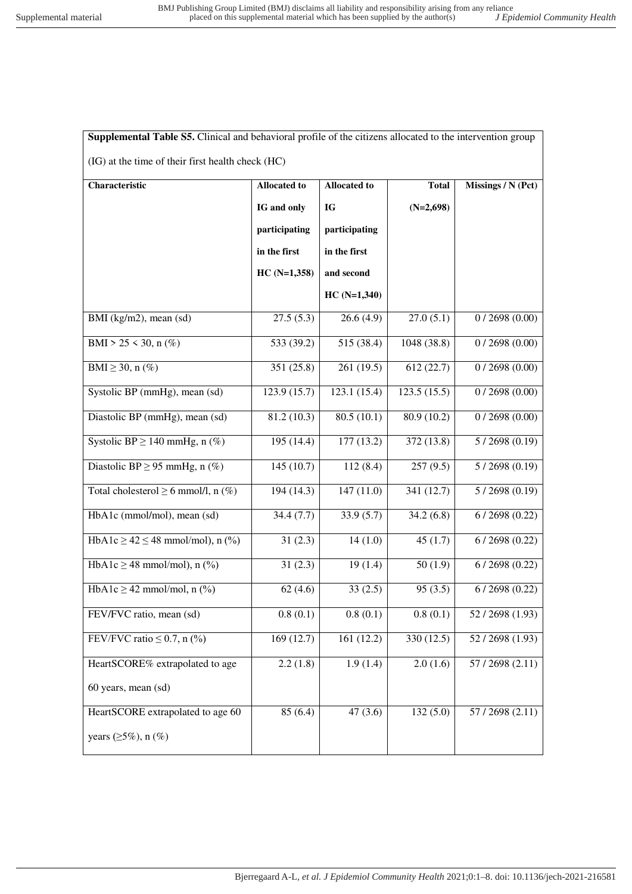| Supplemental Table S5. Clinical and behavioral profile of the citizens allocated to the intervention group |                                                                                  |               |             |                |  |  |  |  |  |  |
|------------------------------------------------------------------------------------------------------------|----------------------------------------------------------------------------------|---------------|-------------|----------------|--|--|--|--|--|--|
| (IG) at the time of their first health check (HC)                                                          |                                                                                  |               |             |                |  |  |  |  |  |  |
| Characteristic                                                                                             | <b>Allocated to</b><br><b>Allocated to</b><br><b>Total</b><br>Missings / N (Pct) |               |             |                |  |  |  |  |  |  |
|                                                                                                            | IG and only                                                                      | IG            | $(N=2,698)$ |                |  |  |  |  |  |  |
|                                                                                                            | participating                                                                    | participating |             |                |  |  |  |  |  |  |
|                                                                                                            | in the first                                                                     | in the first  |             |                |  |  |  |  |  |  |
|                                                                                                            | $HC(N=1,358)$                                                                    | and second    |             |                |  |  |  |  |  |  |
|                                                                                                            |                                                                                  | $HC(N=1,340)$ |             |                |  |  |  |  |  |  |
| BMI (kg/m2), mean (sd)                                                                                     | 27.5(5.3)                                                                        | 26.6(4.9)     | 27.0(5.1)   | 0/2698(0.00)   |  |  |  |  |  |  |
| BMI > 25 < 30, n $(\%)$                                                                                    | 533 (39.2)                                                                       | 515 (38.4)    | 1048 (38.8) | 0/2698(0.00)   |  |  |  |  |  |  |
| BMI $\geq$ 30, n (%)                                                                                       | 351 (25.8)                                                                       | 261 (19.5)    | 612 (22.7)  | 0/2698(0.00)   |  |  |  |  |  |  |
| Systolic BP (mmHg), mean (sd)                                                                              | 123.9 (15.7)                                                                     | 123.1 (15.4)  | 123.5(15.5) | 0/2698(0.00)   |  |  |  |  |  |  |
| Diastolic BP (mmHg), mean (sd)                                                                             | 81.2 (10.3)                                                                      | 80.5(10.1)    | 80.9 (10.2) | 0/2698(0.00)   |  |  |  |  |  |  |
| Systolic BP $\geq$ 140 mmHg, $\overline{n}$ (%)                                                            | 195 (14.4)                                                                       | 177 (13.2)    | 372 (13.8)  | 5/2698(0.19)   |  |  |  |  |  |  |
| Diastolic BP $\geq$ 95 mmHg, n (%)                                                                         | 145(10.7)                                                                        | 112(8.4)      | 257(9.5)    | 5/2698(0.19)   |  |  |  |  |  |  |
| Total cholesterol $\geq 6$ mmol/l, n (%)                                                                   | 194 (14.3)                                                                       | 147(11.0)     | 341 (12.7)  | 5/2698(0.19)   |  |  |  |  |  |  |
| HbA1c (mmol/mol), mean (sd)                                                                                | 34.4(7.7)                                                                        | 33.9(5.7)     | 34.2(6.8)   | 6/2698(0.22)   |  |  |  |  |  |  |
| HbA1c $\ge$ 42 $\le$ 48 mmol/mol), n (%)                                                                   | 31(2.3)                                                                          | 14(1.0)       | 45(1.7)     | 6/2698(0.22)   |  |  |  |  |  |  |
| HbA1c $\geq$ 48 mmol/mol), n (%)                                                                           | 31(2.3)                                                                          | 19(1.4)       | 50(1.9)     | 6/2698(0.22)   |  |  |  |  |  |  |
| HbA1c $\geq$ 42 mmol/mol, n (%)                                                                            | 62(4.6)                                                                          | 33(2.5)       | 95(3.5)     | 6/2698(0.22)   |  |  |  |  |  |  |
| FEV/FVC ratio, mean (sd)                                                                                   | 0.8(0.1)                                                                         | 0.8(0.1)      | 0.8(0.1)    | 52/2698 (1.93) |  |  |  |  |  |  |
| FEV/FVC ratio $\leq 0.7$ , n (%)                                                                           | 169(12.7)                                                                        | 161 (12.2)    | 330 (12.5)  | 52/2698(1.93)  |  |  |  |  |  |  |
| HeartSCORE% extrapolated to age                                                                            | 2.2(1.8)                                                                         | 1.9(1.4)      | 2.0(1.6)    | 57/2698(2.11)  |  |  |  |  |  |  |
| 60 years, mean (sd)                                                                                        |                                                                                  |               |             |                |  |  |  |  |  |  |
| HeartSCORE extrapolated to age 60                                                                          | 85(6.4)                                                                          | 47(3.6)       | 132(5.0)    | 57/2698 (2.11) |  |  |  |  |  |  |
| years $(\geq 5\%)$ , n $(\%)$                                                                              |                                                                                  |               |             |                |  |  |  |  |  |  |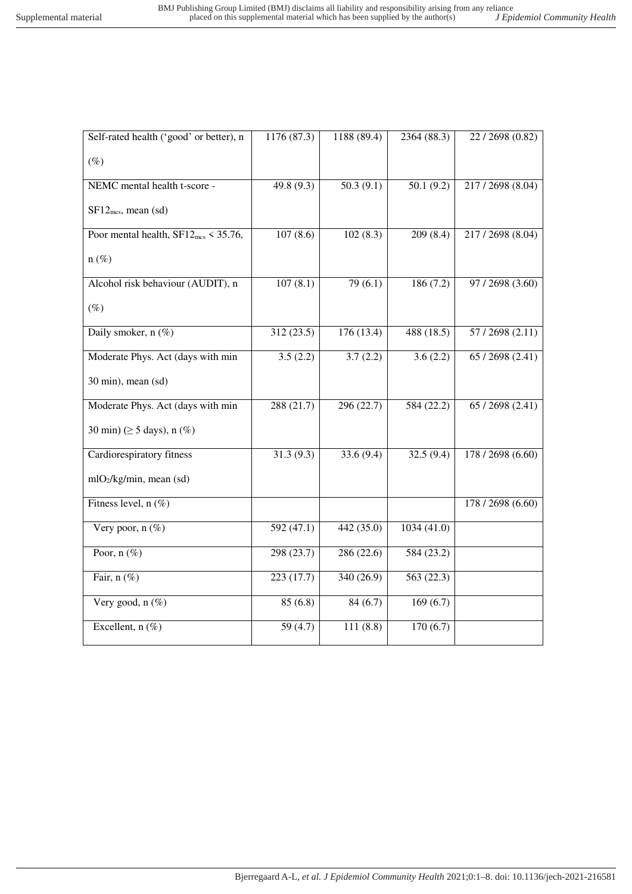| Self-rated health ('good' or better), n          | 1176 (87.3)            | 1188 (89.4) | 2364 (88.3) | 22/2698 (0.82)    |
|--------------------------------------------------|------------------------|-------------|-------------|-------------------|
| $(\%)$                                           |                        |             |             |                   |
| NEMC mental health t-score -                     | 49.8 (9.3)             | 50.3(9.1)   | 50.1(9.2)   | 217/2698 (8.04)   |
| $SF12_{mcs}$ , mean (sd)                         |                        |             |             |                   |
| Poor mental health, $SF12_{\text{mcs}}$ < 35.76, | 107(8.6)               | 102(8.3)    | 209(8.4)    | 217/2698 (8.04)   |
| $n(\%)$                                          |                        |             |             |                   |
| Alcohol risk behaviour (AUDIT), n                | 107(8.1)               | 79(6.1)     | 186(7.2)    | 97 / 2698 (3.60)  |
| $(\%)$                                           |                        |             |             |                   |
| Daily smoker, n (%)                              | 312 (23.5)             | 176 (13.4)  | 488 (18.5)  | 57/2698 (2.11)    |
| Moderate Phys. Act (days with min                | 3.5(2.2)               | 3.7(2.2)    | 3.6(2.2)    | 65 / 2698 (2.41)  |
| 30 min), mean (sd)                               |                        |             |             |                   |
| Moderate Phys. Act (days with min                | 288(21.7)              | 296(22.7)   | 584(22.2)   | 65/2698(2.41)     |
| 30 min) ( $\geq$ 5 days), n (%)                  |                        |             |             |                   |
| Cardiorespiratory fitness                        | $\overline{31.3(9.3)}$ | 33.6(9.4)   | 32.5(9.4)   | 178 / 2698 (6.60) |
| mlO2/kg/min, mean (sd)                           |                        |             |             |                   |
| Fitness level, n (%)                             |                        |             |             | 178 / 2698 (6.60) |
| Very poor, $n$ (%)                               | 592(47.1)              | 442(35.0)   | 1034(41.0)  |                   |
| Poor, $n$ (%)                                    | 298 (23.7)             | 286 (22.6)  | 584 (23.2)  |                   |
| Fair, $n$ (%)                                    | 223(17.7)              | 340 (26.9)  | 563 (22.3)  |                   |
| Very good, $n$ (%)                               | 85(6.8)                | 84(6.7)     | 169(6.7)    |                   |
| Excellent, $n$ (%)                               | 59(4.7)                | 111(8.8)    | 170(6.7)    |                   |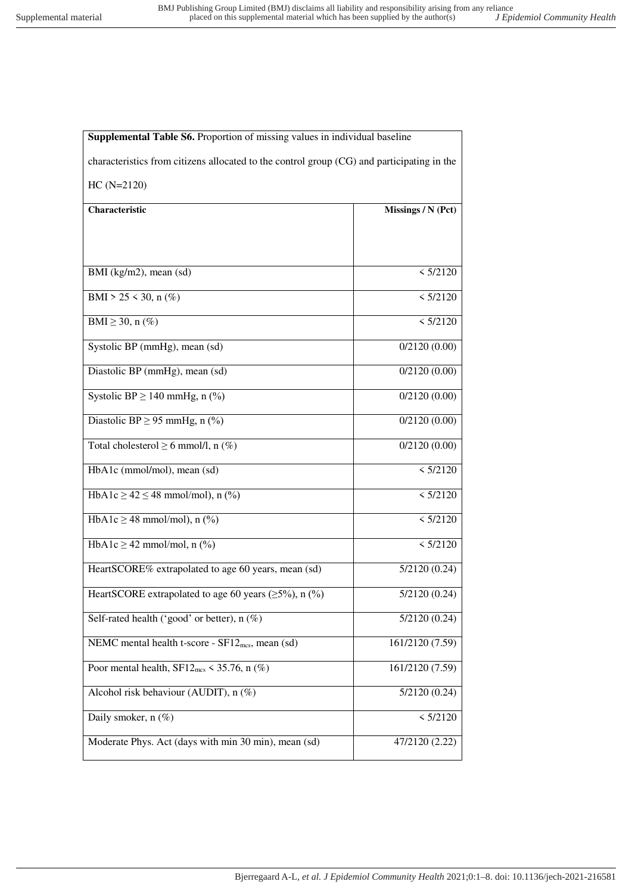| <b>Supplemental Table S6.</b> Proportion of missing values in individual baseline          |                    |
|--------------------------------------------------------------------------------------------|--------------------|
| characteristics from citizens allocated to the control group (CG) and participating in the |                    |
| $HC(N=2120)$                                                                               |                    |
| Characteristic                                                                             | Missings / N (Pct) |
|                                                                                            |                    |
|                                                                                            |                    |
| BMI (kg/m2), mean (sd)                                                                     | < 5/2120           |
| BMI > 25 < 30, n $(\%)$                                                                    | < 5/2120           |
| BMI $\geq$ 30, n $(\%)$                                                                    | < 5/2120           |
| Systolic BP (mmHg), mean (sd)                                                              | 0/2120(0.00)       |
| Diastolic BP (mmHg), mean (sd)                                                             | 0/2120(0.00)       |
| Systolic BP $\geq$ 140 mmHg, n (%)                                                         | 0/2120(0.00)       |
| Diastolic BP $\geq$ 95 mmHg, n (%)                                                         | 0/2120(0.00)       |
| Total cholesterol $\geq 6$ mmol/l, n (%)                                                   | 0/2120(0.00)       |
|                                                                                            |                    |
| HbA1c (mmol/mol), mean (sd)                                                                | < 5/2120           |
| HbA1c $\ge$ 42 $\le$ 48 mmol/mol), n (%)                                                   | < 5/2120           |
| HbA1c $\geq$ 48 mmol/mol), n (%)                                                           | < 5/2120           |
| HbA1c $\geq$ 42 mmol/mol, n (%)                                                            | < 5/2120           |
| HeartSCORE% extrapolated to age 60 years, mean (sd)                                        | 5/2120(0.24)       |
| HeartSCORE extrapolated to age 60 years ( $\geq$ 5%), n (%)                                | 5/2120(0.24)       |
| Self-rated health ('good' or better), n (%)                                                | 5/2120(0.24)       |
| NEMC mental health t-score - SF12 <sub>mcs</sub> , mean (sd)                               | 161/2120 (7.59)    |
| Poor mental health, $SF12_{\text{mcs}} \leq 35.76$ , n (%)                                 | 161/2120 (7.59)    |
| Alcohol risk behaviour (AUDIT), n (%)                                                      | 5/2120(0.24)       |
| Daily smoker, $n$ (%)                                                                      | < 5/2120           |
| Moderate Phys. Act (days with min 30 min), mean (sd)                                       | 47/2120 (2.22)     |
|                                                                                            |                    |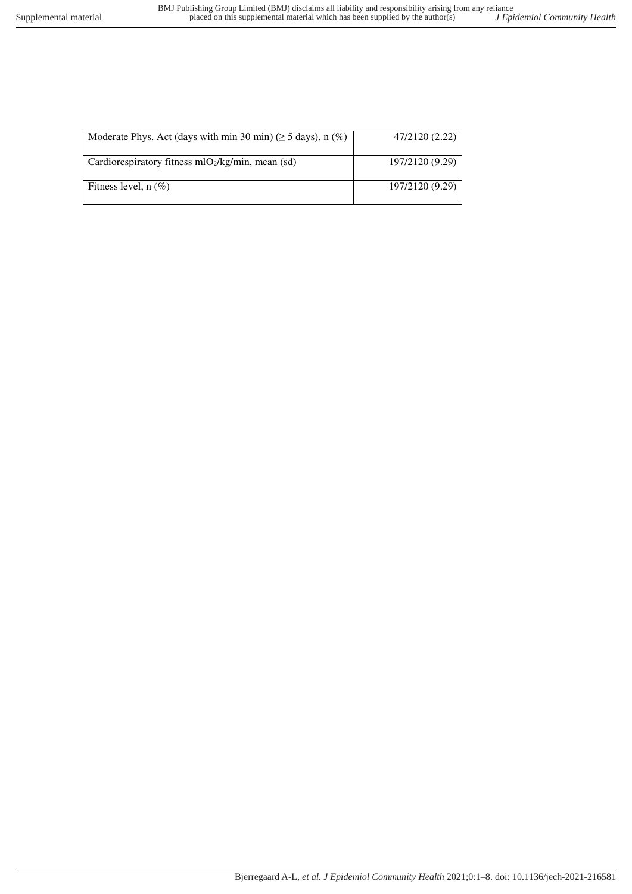| Moderate Phys. Act (days with min 30 min) ( $\geq$ 5 days), n (%) | 47/2120 (2.22)  |
|-------------------------------------------------------------------|-----------------|
| Cardiorespiratory fitness $mlO2/kg/min$ , mean (sd)               | 197/2120 (9.29) |
| Fitness level, $n$ (%)                                            | 197/2120 (9.29) |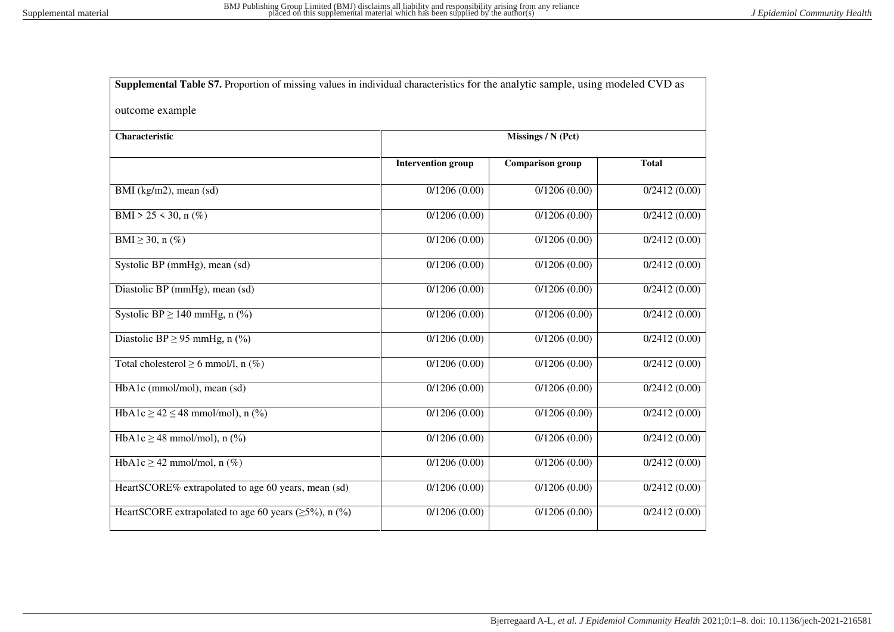| Supplemental Table S7. Proportion of missing values in individual characteristics for the analytic sample, using modeled CVD as |                           |                         |              |
|---------------------------------------------------------------------------------------------------------------------------------|---------------------------|-------------------------|--------------|
| outcome example                                                                                                                 |                           |                         |              |
| Characteristic                                                                                                                  |                           | Missings / N (Pct)      |              |
|                                                                                                                                 | <b>Intervention group</b> | <b>Comparison</b> group | <b>Total</b> |
| BMI (kg/m2), mean (sd)                                                                                                          | 0/1206(0.00)              | 0/1206(0.00)            | 0/2412(0.00) |
| BMI > 25 < 30, n $(\%)$                                                                                                         | 0/1206(0.00)              | 0/1206(0.00)            | 0/2412(0.00) |
| BMI $\geq$ 30, n $(\%)$                                                                                                         | 0/1206(0.00)              | 0/1206(0.00)            | 0/2412(0.00) |
| Systolic BP (mmHg), mean (sd)                                                                                                   | 0/1206(0.00)              | 0/1206(0.00)            | 0/2412(0.00) |
| Diastolic BP (mmHg), mean (sd)                                                                                                  | 0/1206(0.00)              | 0/1206(0.00)            | 0/2412(0.00) |
| Systolic BP $\geq$ 140 mmHg, n (%)                                                                                              | 0/1206(0.00)              | 0/1206(0.00)            | 0/2412(0.00) |
| Diastolic BP $\geq$ 95 mmHg, n (%)                                                                                              | 0/1206(0.00)              | 0/1206(0.00)            | 0/2412(0.00) |
| Total cholesterol $\geq 6$ mmol/l, n (%)                                                                                        | 0/1206(0.00)              | 0/1206(0.00)            | 0/2412(0.00) |
| HbA1c (mmol/mol), mean (sd)                                                                                                     | 0/1206(0.00)              | 0/1206(0.00)            | 0/2412(0.00) |
| HbA1c $\ge$ 42 $\le$ 48 mmol/mol), n (%)                                                                                        | 0/1206(0.00)              | 0/1206(0.00)            | 0/2412(0.00) |
| HbA1c $\geq$ 48 mmol/mol), n (%)                                                                                                | 0/1206(0.00)              | 0/1206(0.00)            | 0/2412(0.00) |
| HbA1c $\geq$ 42 mmol/mol, n (%)                                                                                                 | 0/1206(0.00)              | 0/1206(0.00)            | 0/2412(0.00) |
| HeartSCORE% extrapolated to age 60 years, mean (sd)                                                                             | 0/1206(0.00)              | 0/1206(0.00)            | 0/2412(0.00) |
| HeartSCORE extrapolated to age 60 years ( $\geq$ 5%), n (%)                                                                     | 0/1206(0.00)              | 0/1206(0.00)            | 0/2412(0.00) |
|                                                                                                                                 |                           |                         |              |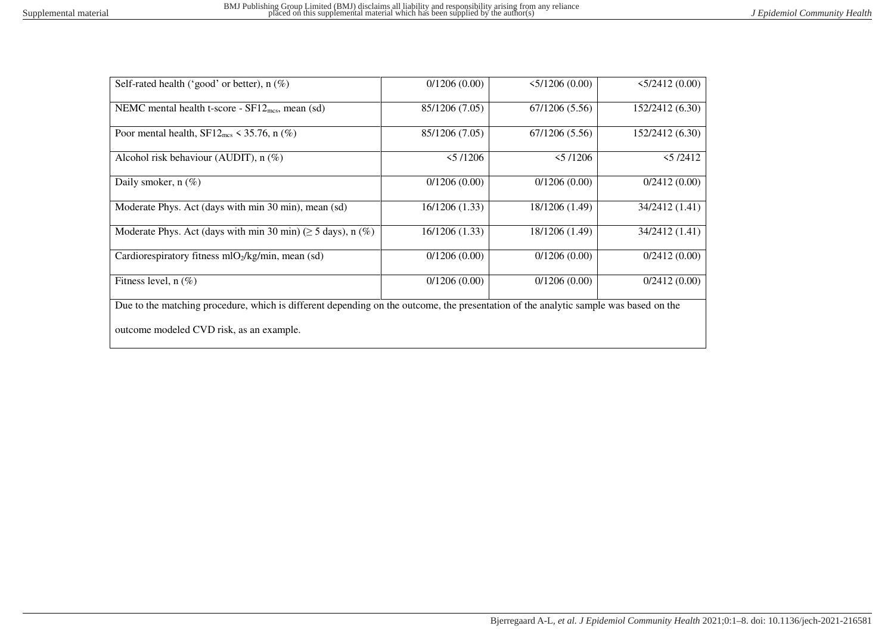| Self-rated health ('good' or better), $n$ (%)                                                                                        | 0/1206(0.00)   | 5/1206(0.00)   | 5/2412(0.00)    |  |  |  |
|--------------------------------------------------------------------------------------------------------------------------------------|----------------|----------------|-----------------|--|--|--|
| NEMC mental health t-score - $SF12_{\text{mcs}}$ , mean (sd)                                                                         | 85/1206 (7.05) | 67/1206 (5.56) | 152/2412 (6.30) |  |  |  |
| Poor mental health, $SF12_{\text{mcs}} \leq 35.76$ , n (%)                                                                           | 85/1206 (7.05) | 67/1206(5.56)  | 152/2412 (6.30) |  |  |  |
| Alcohol risk behaviour (AUDIT), $n$ (%)                                                                                              | 5/1206         | 5/1206         | 5/2412          |  |  |  |
| Daily smoker, $n$ (%)                                                                                                                | 0/1206(0.00)   | 0/1206(0.00)   | 0/2412(0.00)    |  |  |  |
| Moderate Phys. Act (days with min 30 min), mean (sd)                                                                                 | 16/1206 (1.33) | 18/1206 (1.49) | 34/2412 (1.41)  |  |  |  |
| Moderate Phys. Act (days with min 30 min) ( $\geq$ 5 days), n (%)                                                                    | 16/1206 (1.33) | 18/1206 (1.49) | 34/2412 (1.41)  |  |  |  |
| Cardiorespiratory fitness $mO2/kg/min$ , mean (sd)                                                                                   | 0/1206(0.00)   | 0/1206(0.00)   | 0/2412(0.00)    |  |  |  |
| Fitness level, $n$ (%)                                                                                                               | 0/1206(0.00)   | 0/1206(0.00)   | 0/2412(0.00)    |  |  |  |
| Due to the matching procedure, which is different depending on the outcome, the presentation of the analytic sample was based on the |                |                |                 |  |  |  |
| outcome modeled CVD risk, as an example.                                                                                             |                |                |                 |  |  |  |